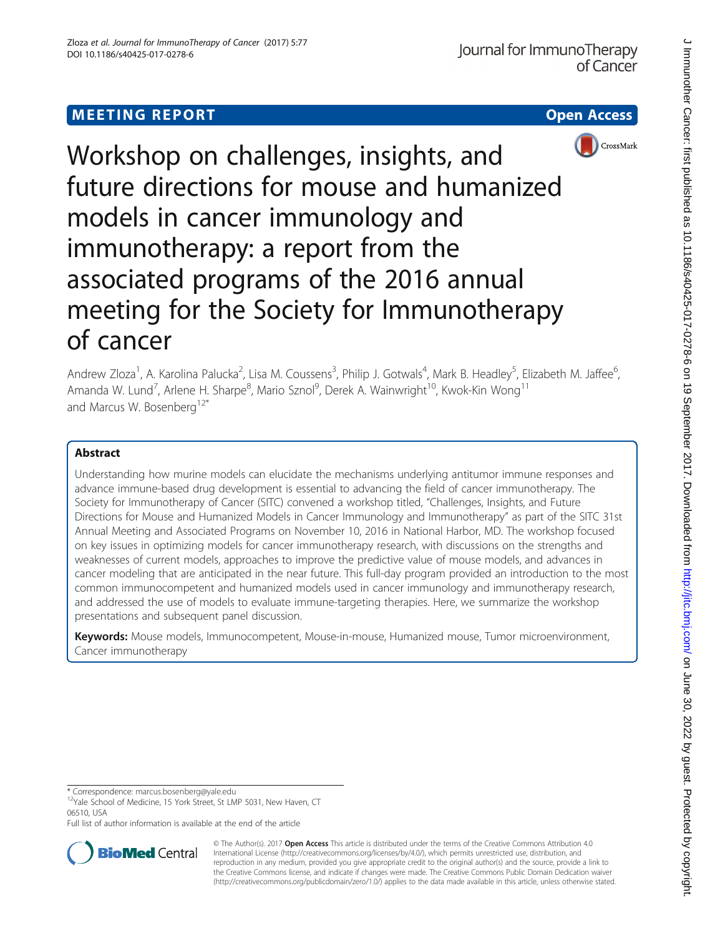# **MEETING REPORT CONSUMING A REPORT** AND THE SECOND ACCESS OPEN ACCESS





Workshop on challenges, insights, and future directions for mouse and humanized models in cancer immunology and immunotherapy: a report from the associated programs of the 2016 annual meeting for the Society for Immunotherapy of cancer

Andrew Zloza<sup>1</sup>, A. Karolina Palucka<sup>2</sup>, Lisa M. Coussens<sup>3</sup>, Philip J. Gotwals<sup>4</sup>, Mark B. Headley<sup>5</sup>, Elizabeth M. Jaffee<sup>6</sup> , Amanda W. Lund<sup>7</sup>, Arlene H. Sharpe<sup>8</sup>, Mario Sznol<sup>9</sup>, Derek A. Wainwright<sup>10</sup>, Kwok-Kin Wong<sup>11</sup> and Marcus W. Bosenberg<sup>12\*</sup>

# Abstract

Understanding how murine models can elucidate the mechanisms underlying antitumor immune responses and advance immune-based drug development is essential to advancing the field of cancer immunotherapy. The Society for Immunotherapy of Cancer (SITC) convened a workshop titled, "Challenges, Insights, and Future Directions for Mouse and Humanized Models in Cancer Immunology and Immunotherapy" as part of the SITC 31st Annual Meeting and Associated Programs on November 10, 2016 in National Harbor, MD. The workshop focused on key issues in optimizing models for cancer immunotherapy research, with discussions on the strengths and weaknesses of current models, approaches to improve the predictive value of mouse models, and advances in cancer modeling that are anticipated in the near future. This full-day program provided an introduction to the most common immunocompetent and humanized models used in cancer immunology and immunotherapy research, and addressed the use of models to evaluate immune-targeting therapies. Here, we summarize the workshop presentations and subsequent panel discussion.

Keywords: Mouse models, Immunocompetent, Mouse-in-mouse, Humanized mouse, Tumor microenvironment, Cancer immunotherapy

Full list of author information is available at the end of the article



© The Author(s). 2017 **Open Access** This article is distributed under the terms of the Creative Commons Attribution 4.0 International License [\(http://creativecommons.org/licenses/by/4.0/](http://creativecommons.org/licenses/by/4.0/)), which permits unrestricted use, distribution, and reproduction in any medium, provided you give appropriate credit to the original author(s) and the source, provide a link to the Creative Commons license, and indicate if changes were made. The Creative Commons Public Domain Dedication waiver [\(http://creativecommons.org/publicdomain/zero/1.0/](http://creativecommons.org/publicdomain/zero/1.0/)) applies to the data made available in this article, unless otherwise stated.

<sup>\*</sup> Correspondence: [marcus.bosenberg@yale.edu](mailto:marcus.bosenberg@yale.edu) 12Yale School of Medicine, 15 York Street, St LMP 5031, New Haven, CT 06510, USA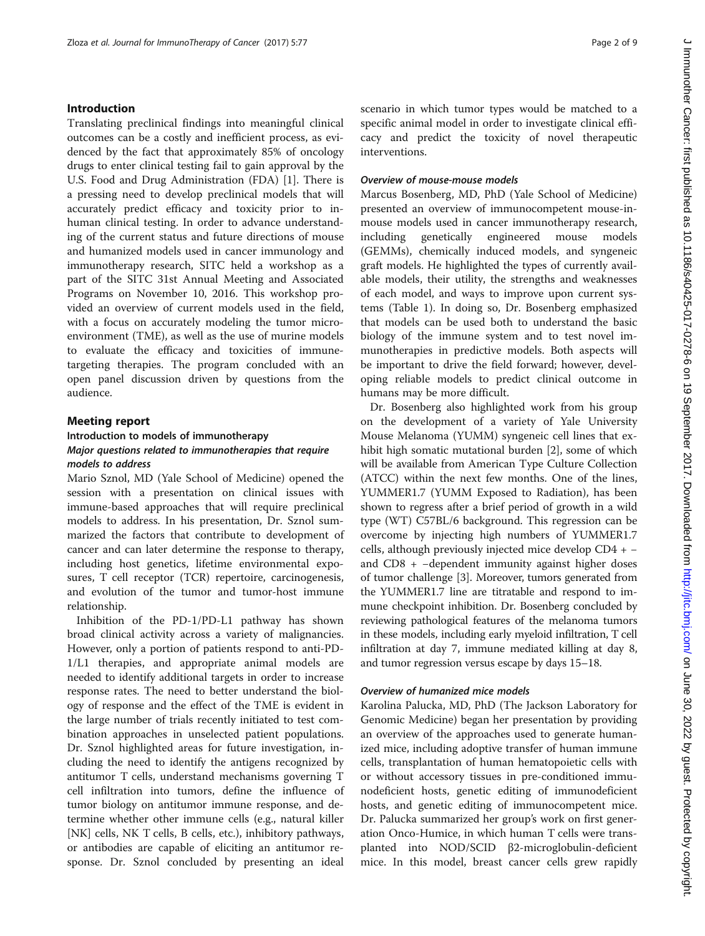# Introduction

Translating preclinical findings into meaningful clinical outcomes can be a costly and inefficient process, as evidenced by the fact that approximately 85% of oncology drugs to enter clinical testing fail to gain approval by the U.S. Food and Drug Administration (FDA) [\[1](#page-7-0)]. There is a pressing need to develop preclinical models that will accurately predict efficacy and toxicity prior to inhuman clinical testing. In order to advance understanding of the current status and future directions of mouse and humanized models used in cancer immunology and immunotherapy research, SITC held a workshop as a part of the SITC 31st Annual Meeting and Associated Programs on November 10, 2016. This workshop provided an overview of current models used in the field, with a focus on accurately modeling the tumor microenvironment (TME), as well as the use of murine models to evaluate the efficacy and toxicities of immunetargeting therapies. The program concluded with an open panel discussion driven by questions from the audience.

## Meeting report

### Introduction to models of immunotherapy Major questions related to immunotherapies that require models to address

Mario Sznol, MD (Yale School of Medicine) opened the session with a presentation on clinical issues with immune-based approaches that will require preclinical models to address. In his presentation, Dr. Sznol summarized the factors that contribute to development of cancer and can later determine the response to therapy, including host genetics, lifetime environmental exposures, T cell receptor (TCR) repertoire, carcinogenesis, and evolution of the tumor and tumor-host immune relationship.

Inhibition of the PD-1/PD-L1 pathway has shown broad clinical activity across a variety of malignancies. However, only a portion of patients respond to anti-PD-1/L1 therapies, and appropriate animal models are needed to identify additional targets in order to increase response rates. The need to better understand the biology of response and the effect of the TME is evident in the large number of trials recently initiated to test combination approaches in unselected patient populations. Dr. Sznol highlighted areas for future investigation, including the need to identify the antigens recognized by antitumor T cells, understand mechanisms governing T cell infiltration into tumors, define the influence of tumor biology on antitumor immune response, and determine whether other immune cells (e.g., natural killer [NK] cells, NK T cells, B cells, etc.), inhibitory pathways, or antibodies are capable of eliciting an antitumor response. Dr. Sznol concluded by presenting an ideal scenario in which tumor types would be matched to a specific animal model in order to investigate clinical efficacy and predict the toxicity of novel therapeutic interventions.

#### Overview of mouse-mouse models

Marcus Bosenberg, MD, PhD (Yale School of Medicine) presented an overview of immunocompetent mouse-inmouse models used in cancer immunotherapy research, including genetically engineered mouse models (GEMMs), chemically induced models, and syngeneic graft models. He highlighted the types of currently available models, their utility, the strengths and weaknesses of each model, and ways to improve upon current systems (Table [1\)](#page-2-0). In doing so, Dr. Bosenberg emphasized that models can be used both to understand the basic biology of the immune system and to test novel immunotherapies in predictive models. Both aspects will be important to drive the field forward; however, developing reliable models to predict clinical outcome in humans may be more difficult.

Dr. Bosenberg also highlighted work from his group on the development of a variety of Yale University Mouse Melanoma (YUMM) syngeneic cell lines that exhibit high somatic mutational burden [\[2\]](#page-7-0), some of which will be available from American Type Culture Collection (ATCC) within the next few months. One of the lines, YUMMER1.7 (YUMM Exposed to Radiation), has been shown to regress after a brief period of growth in a wild type (WT) C57BL/6 background. This regression can be overcome by injecting high numbers of YUMMER1.7 cells, although previously injected mice develop CD4 + − and CD8 + −dependent immunity against higher doses of tumor challenge [[3\]](#page-7-0). Moreover, tumors generated from the YUMMER1.7 line are titratable and respond to immune checkpoint inhibition. Dr. Bosenberg concluded by reviewing pathological features of the melanoma tumors in these models, including early myeloid infiltration, T cell infiltration at day 7, immune mediated killing at day 8, and tumor regression versus escape by days 15–18.

#### Overview of humanized mice models

Karolina Palucka, MD, PhD (The Jackson Laboratory for Genomic Medicine) began her presentation by providing an overview of the approaches used to generate humanized mice, including adoptive transfer of human immune cells, transplantation of human hematopoietic cells with or without accessory tissues in pre-conditioned immunodeficient hosts, genetic editing of immunodeficient hosts, and genetic editing of immunocompetent mice. Dr. Palucka summarized her group's work on first generation Onco-Humice, in which human T cells were transplanted into NOD/SCID β2-microglobulin-deficient mice. In this model, breast cancer cells grew rapidly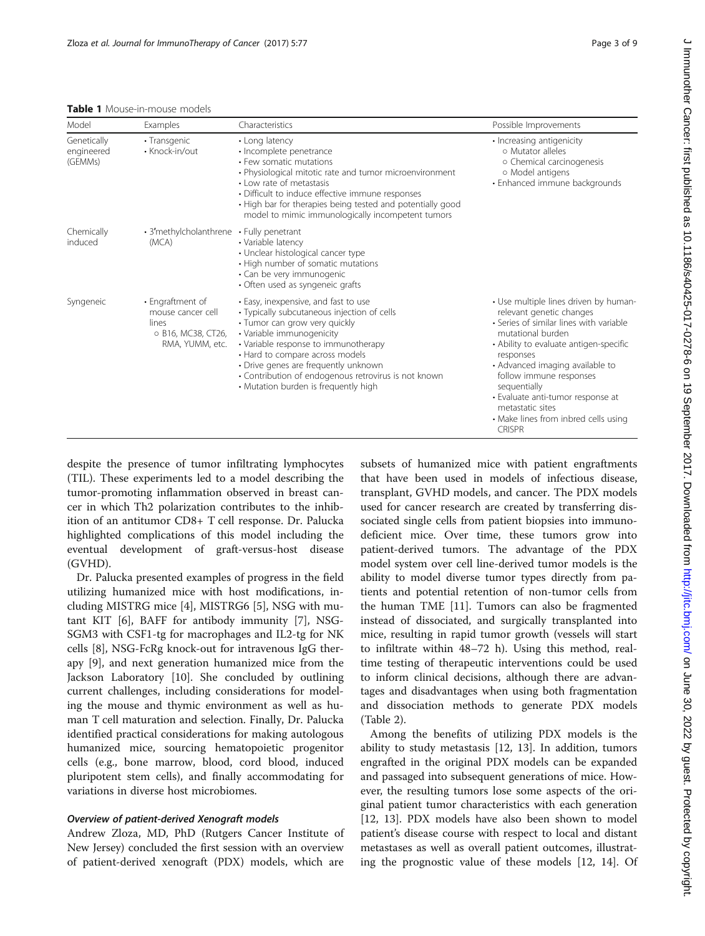#### <span id="page-2-0"></span>Table 1 Mouse-in-mouse models

| Model                                | Examples                                                                                      | Characteristics                                                                                                                                                                                                                                                                                                                                                      | Possible Improvements                                                                                                                                                                                                                                                                                                                                                                    |
|--------------------------------------|-----------------------------------------------------------------------------------------------|----------------------------------------------------------------------------------------------------------------------------------------------------------------------------------------------------------------------------------------------------------------------------------------------------------------------------------------------------------------------|------------------------------------------------------------------------------------------------------------------------------------------------------------------------------------------------------------------------------------------------------------------------------------------------------------------------------------------------------------------------------------------|
| Genetically<br>engineered<br>(GEMMs) | • Transgenic<br>• Knock-in/out                                                                | • Long latency<br>· Incomplete penetrance<br>• Few somatic mutations<br>• Physiological mitotic rate and tumor microenvironment<br>. Low rate of metastasis<br>• Difficult to induce effective immune responses<br>• High bar for therapies being tested and potentially good<br>model to mimic immunologically incompetent tumors                                   | • Increasing antigenicity<br>o Mutator alleles<br>o Chemical carcinogenesis<br>o Model antigens<br>• Enhanced immune backgrounds                                                                                                                                                                                                                                                         |
| Chemically<br>induced                | · 3'methylcholanthrene<br>(MCA)                                                               | • Fully penetrant<br>• Variable latency<br>• Unclear histological cancer type<br>• High number of somatic mutations<br>• Can be very immunogenic<br>• Often used as syngeneic grafts                                                                                                                                                                                 |                                                                                                                                                                                                                                                                                                                                                                                          |
| Syngeneic                            | • Engraftment of<br>mouse cancer cell<br>lines<br>$\circ$ B16, MC38, CT26,<br>RMA, YUMM, etc. | • Easy, inexpensive, and fast to use<br>• Typically subcutaneous injection of cells<br>• Tumor can grow very quickly<br>• Variable immunogenicity<br>• Variable response to immunotherapy<br>• Hard to compare across models<br>• Drive genes are frequently unknown<br>• Contribution of endogenous retrovirus is not known<br>• Mutation burden is frequently high | • Use multiple lines driven by human-<br>relevant genetic changes<br>· Series of similar lines with variable<br>mutational burden<br>• Ability to evaluate antigen-specific<br>responses<br>· Advanced imaging available to<br>follow immune responses<br>sequentially<br>• Evaluate anti-tumor response at<br>metastatic sites<br>• Make lines from inbred cells using<br><b>CRISPR</b> |

despite the presence of tumor infiltrating lymphocytes (TIL). These experiments led to a model describing the tumor-promoting inflammation observed in breast cancer in which Th2 polarization contributes to the inhibition of an antitumor CD8+ T cell response. Dr. Palucka highlighted complications of this model including the eventual development of graft-versus-host disease (GVHD).

Dr. Palucka presented examples of progress in the field utilizing humanized mice with host modifications, including MISTRG mice [[4](#page-7-0)], MISTRG6 [[5\]](#page-7-0), NSG with mutant KIT [[6\]](#page-7-0), BAFF for antibody immunity [[7\]](#page-7-0), NSG-SGM3 with CSF1-tg for macrophages and IL2-tg for NK cells [[8\]](#page-7-0), NSG-FcRg knock-out for intravenous IgG therapy [[9\]](#page-7-0), and next generation humanized mice from the Jackson Laboratory [[10\]](#page-7-0). She concluded by outlining current challenges, including considerations for modeling the mouse and thymic environment as well as human T cell maturation and selection. Finally, Dr. Palucka identified practical considerations for making autologous humanized mice, sourcing hematopoietic progenitor cells (e.g., bone marrow, blood, cord blood, induced pluripotent stem cells), and finally accommodating for variations in diverse host microbiomes.

#### Overview of patient-derived Xenograft models

Andrew Zloza, MD, PhD (Rutgers Cancer Institute of New Jersey) concluded the first session with an overview of patient-derived xenograft (PDX) models, which are

subsets of humanized mice with patient engraftments that have been used in models of infectious disease, transplant, GVHD models, and cancer. The PDX models used for cancer research are created by transferring dissociated single cells from patient biopsies into immunodeficient mice. Over time, these tumors grow into patient-derived tumors. The advantage of the PDX model system over cell line-derived tumor models is the ability to model diverse tumor types directly from patients and potential retention of non-tumor cells from the human TME [\[11](#page-7-0)]. Tumors can also be fragmented instead of dissociated, and surgically transplanted into mice, resulting in rapid tumor growth (vessels will start to infiltrate within 48–72 h). Using this method, realtime testing of therapeutic interventions could be used to inform clinical decisions, although there are advantages and disadvantages when using both fragmentation and dissociation methods to generate PDX models (Table [2\)](#page-3-0).

Among the benefits of utilizing PDX models is the ability to study metastasis [\[12, 13](#page-7-0)]. In addition, tumors engrafted in the original PDX models can be expanded and passaged into subsequent generations of mice. However, the resulting tumors lose some aspects of the original patient tumor characteristics with each generation [[12, 13](#page-7-0)]. PDX models have also been shown to model patient's disease course with respect to local and distant metastases as well as overall patient outcomes, illustrating the prognostic value of these models [[12, 14\]](#page-7-0). Of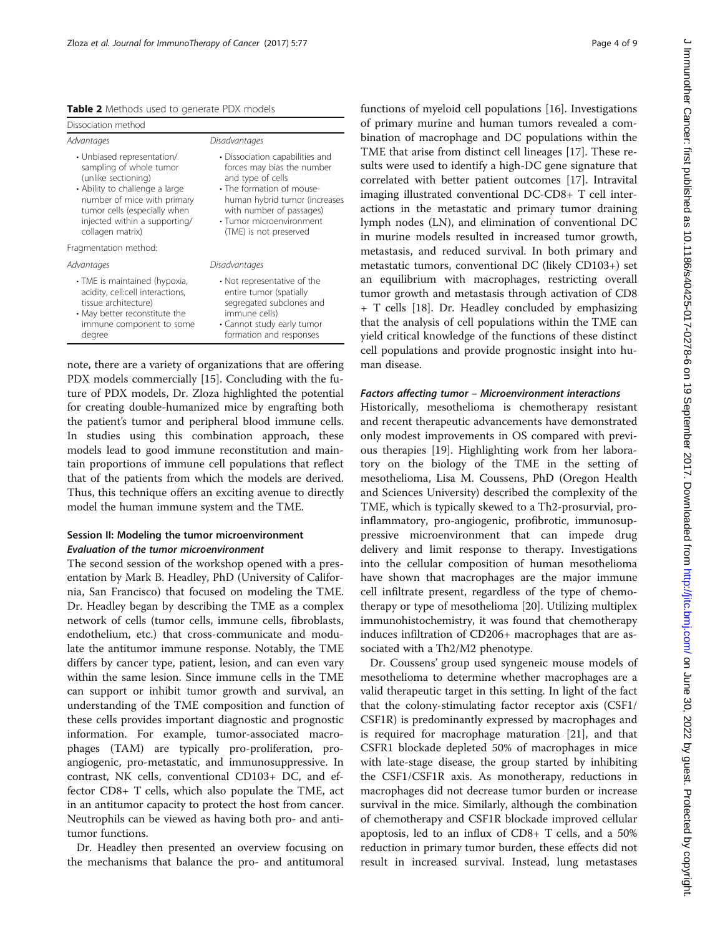<span id="page-3-0"></span>Table 2 Methods used to generate PDX models

| Dissociation method                                                                                                                                                                                                                |                                                                                                                                                                                                                                    |  |  |  |
|------------------------------------------------------------------------------------------------------------------------------------------------------------------------------------------------------------------------------------|------------------------------------------------------------------------------------------------------------------------------------------------------------------------------------------------------------------------------------|--|--|--|
| Advantages                                                                                                                                                                                                                         | Disadvantages                                                                                                                                                                                                                      |  |  |  |
| • Unbiased representation/<br>sampling of whole tumor<br>(unlike sectioning)<br>• Ability to challenge a large<br>number of mice with primary<br>tumor cells (especially when<br>injected within a supporting/<br>collagen matrix) | • Dissociation capabilities and<br>forces may bias the number<br>and type of cells<br>• The formation of mouse-<br>human hybrid tumor (increases<br>with number of passages)<br>• Tumor microenvironment<br>(TME) is not preserved |  |  |  |
| Fragmentation method:                                                                                                                                                                                                              |                                                                                                                                                                                                                                    |  |  |  |
| Advantages                                                                                                                                                                                                                         | Disadvantages                                                                                                                                                                                                                      |  |  |  |
| • TME is maintained (hypoxia,<br>acidity, cell:cell interactions,<br>tissue architecture)<br>• May better reconstitute the<br>immune component to some<br>degree                                                                   | • Not representative of the<br>entire tumor (spatially<br>segregated subclones and<br>immune cells)<br>• Cannot study early tumor<br>formation and responses                                                                       |  |  |  |

note, there are a variety of organizations that are offering PDX models commercially [[15\]](#page-7-0). Concluding with the future of PDX models, Dr. Zloza highlighted the potential for creating double-humanized mice by engrafting both the patient's tumor and peripheral blood immune cells. In studies using this combination approach, these models lead to good immune reconstitution and maintain proportions of immune cell populations that reflect that of the patients from which the models are derived. Thus, this technique offers an exciting avenue to directly model the human immune system and the TME.

# Session II: Modeling the tumor microenvironment Evaluation of the tumor microenvironment

The second session of the workshop opened with a presentation by Mark B. Headley, PhD (University of California, San Francisco) that focused on modeling the TME. Dr. Headley began by describing the TME as a complex network of cells (tumor cells, immune cells, fibroblasts, endothelium, etc.) that cross-communicate and modulate the antitumor immune response. Notably, the TME differs by cancer type, patient, lesion, and can even vary within the same lesion. Since immune cells in the TME can support or inhibit tumor growth and survival, an understanding of the TME composition and function of these cells provides important diagnostic and prognostic information. For example, tumor-associated macrophages (TAM) are typically pro-proliferation, proangiogenic, pro-metastatic, and immunosuppressive. In contrast, NK cells, conventional CD103+ DC, and effector CD8+ T cells, which also populate the TME, act in an antitumor capacity to protect the host from cancer. Neutrophils can be viewed as having both pro- and antitumor functions.

Dr. Headley then presented an overview focusing on the mechanisms that balance the pro- and antitumoral functions of myeloid cell populations [\[16\]](#page-7-0). Investigations of primary murine and human tumors revealed a combination of macrophage and DC populations within the TME that arise from distinct cell lineages [\[17](#page-7-0)]. These results were used to identify a high-DC gene signature that correlated with better patient outcomes [[17\]](#page-7-0). Intravital imaging illustrated conventional DC-CD8+ T cell interactions in the metastatic and primary tumor draining lymph nodes (LN), and elimination of conventional DC in murine models resulted in increased tumor growth, metastasis, and reduced survival. In both primary and metastatic tumors, conventional DC (likely CD103+) set an equilibrium with macrophages, restricting overall tumor growth and metastasis through activation of CD8 + T cells [\[18](#page-7-0)]. Dr. Headley concluded by emphasizing that the analysis of cell populations within the TME can yield critical knowledge of the functions of these distinct cell populations and provide prognostic insight into human disease.

# Factors affecting tumor – Microenvironment interactions

Historically, mesothelioma is chemotherapy resistant and recent therapeutic advancements have demonstrated only modest improvements in OS compared with previous therapies [[19\]](#page-7-0). Highlighting work from her laboratory on the biology of the TME in the setting of mesothelioma, Lisa M. Coussens, PhD (Oregon Health and Sciences University) described the complexity of the TME, which is typically skewed to a Th2-prosurvial, proinflammatory, pro-angiogenic, profibrotic, immunosuppressive microenvironment that can impede drug delivery and limit response to therapy. Investigations into the cellular composition of human mesothelioma have shown that macrophages are the major immune cell infiltrate present, regardless of the type of chemotherapy or type of mesothelioma [[20\]](#page-7-0). Utilizing multiplex immunohistochemistry, it was found that chemotherapy induces infiltration of CD206+ macrophages that are associated with a Th2/M2 phenotype.

Dr. Coussens' group used syngeneic mouse models of mesothelioma to determine whether macrophages are a valid therapeutic target in this setting. In light of the fact that the colony-stimulating factor receptor axis (CSF1/ CSF1R) is predominantly expressed by macrophages and is required for macrophage maturation [[21\]](#page-7-0), and that CSFR1 blockade depleted 50% of macrophages in mice with late-stage disease, the group started by inhibiting the CSF1/CSF1R axis. As monotherapy, reductions in macrophages did not decrease tumor burden or increase survival in the mice. Similarly, although the combination of chemotherapy and CSF1R blockade improved cellular apoptosis, led to an influx of CD8+ T cells, and a 50% reduction in primary tumor burden, these effects did not result in increased survival. Instead, lung metastases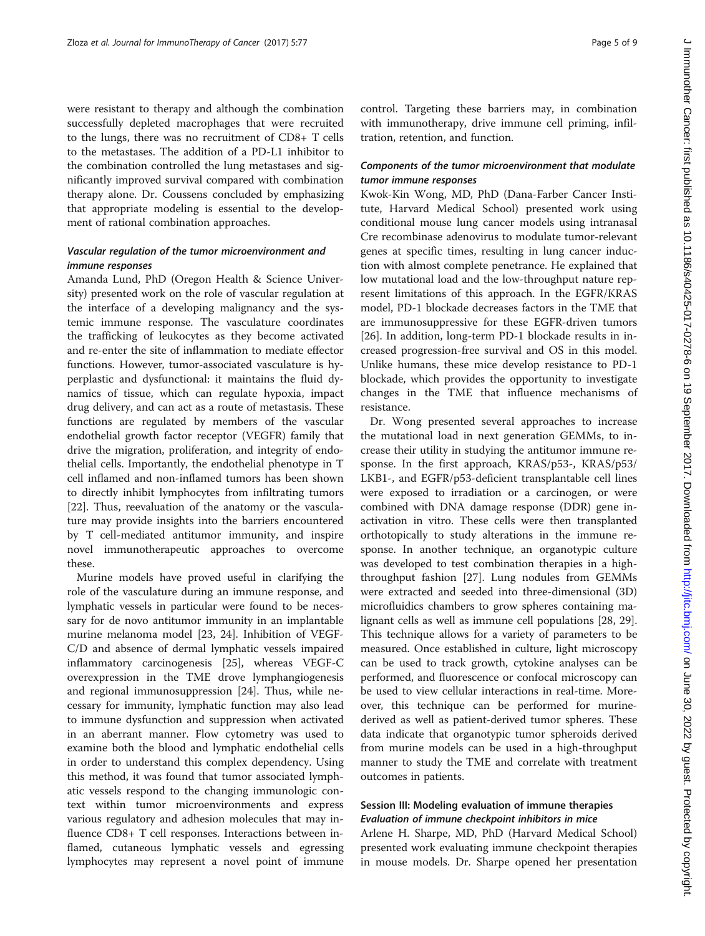were resistant to therapy and although the combination successfully depleted macrophages that were recruited to the lungs, there was no recruitment of CD8+ T cells to the metastases. The addition of a PD-L1 inhibitor to the combination controlled the lung metastases and significantly improved survival compared with combination therapy alone. Dr. Coussens concluded by emphasizing that appropriate modeling is essential to the development of rational combination approaches.

# Vascular regulation of the tumor microenvironment and immune responses

Amanda Lund, PhD (Oregon Health & Science University) presented work on the role of vascular regulation at the interface of a developing malignancy and the systemic immune response. The vasculature coordinates the trafficking of leukocytes as they become activated and re-enter the site of inflammation to mediate effector functions. However, tumor-associated vasculature is hyperplastic and dysfunctional: it maintains the fluid dynamics of tissue, which can regulate hypoxia, impact drug delivery, and can act as a route of metastasis. These functions are regulated by members of the vascular endothelial growth factor receptor (VEGFR) family that drive the migration, proliferation, and integrity of endothelial cells. Importantly, the endothelial phenotype in T cell inflamed and non-inflamed tumors has been shown to directly inhibit lymphocytes from infiltrating tumors [[22\]](#page-8-0). Thus, reevaluation of the anatomy or the vasculature may provide insights into the barriers encountered by T cell-mediated antitumor immunity, and inspire novel immunotherapeutic approaches to overcome these.

Murine models have proved useful in clarifying the role of the vasculature during an immune response, and lymphatic vessels in particular were found to be necessary for de novo antitumor immunity in an implantable murine melanoma model [\[23, 24](#page-8-0)]. Inhibition of VEGF-C/D and absence of dermal lymphatic vessels impaired inflammatory carcinogenesis [[25\]](#page-8-0), whereas VEGF-C overexpression in the TME drove lymphangiogenesis and regional immunosuppression [[24\]](#page-8-0). Thus, while necessary for immunity, lymphatic function may also lead to immune dysfunction and suppression when activated in an aberrant manner. Flow cytometry was used to examine both the blood and lymphatic endothelial cells in order to understand this complex dependency. Using this method, it was found that tumor associated lymphatic vessels respond to the changing immunologic context within tumor microenvironments and express various regulatory and adhesion molecules that may influence CD8+ T cell responses. Interactions between inflamed, cutaneous lymphatic vessels and egressing lymphocytes may represent a novel point of immune control. Targeting these barriers may, in combination with immunotherapy, drive immune cell priming, infiltration, retention, and function. Components of the tumor microenvironment that modulate tumor immune responses Kwok-Kin Wong, MD, PhD (Dana-Farber Cancer Institute, Harvard Medical School) presented work using conditional mouse lung cancer models using intranasal Cre recombinase adenovirus to modulate tumor-relevant genes at specific times, resulting in lung cancer induction with almost complete penetrance. He explained that

low mutational load and the low-throughput nature represent limitations of this approach. In the EGFR/KRAS model, PD-1 blockade decreases factors in the TME that are immunosuppressive for these EGFR-driven tumors [[26\]](#page-8-0). In addition, long-term PD-1 blockade results in increased progression-free survival and OS in this model. Unlike humans, these mice develop resistance to PD-1 blockade, which provides the opportunity to investigate changes in the TME that influence mechanisms of

resistance. Dr. Wong presented several approaches to increase the mutational load in next generation GEMMs, to increase their utility in studying the antitumor immune response. In the first approach, KRAS/p53-, KRAS/p53/ LKB1-, and EGFR/p53-deficient transplantable cell lines were exposed to irradiation or a carcinogen, or were combined with DNA damage response (DDR) gene inactivation in vitro. These cells were then transplanted orthotopically to study alterations in the immune response. In another technique, an organotypic culture was developed to test combination therapies in a highthroughput fashion [\[27](#page-8-0)]. Lung nodules from GEMMs were extracted and seeded into three-dimensional (3D) microfluidics chambers to grow spheres containing malignant cells as well as immune cell populations [\[28](#page-8-0), [29](#page-8-0)]. This technique allows for a variety of parameters to be measured. Once established in culture, light microscopy can be used to track growth, cytokine analyses can be performed, and fluorescence or confocal microscopy can be used to view cellular interactions in real-time. Moreover, this technique can be performed for murinederived as well as patient-derived tumor spheres. These data indicate that organotypic tumor spheroids derived from murine models can be used in a high-throughput manner to study the TME and correlate with treatment outcomes in patients.

# Session III: Modeling evaluation of immune therapies Evaluation of immune checkpoint inhibitors in mice

Arlene H. Sharpe, MD, PhD (Harvard Medical School) presented work evaluating immune checkpoint therapies in mouse models. Dr. Sharpe opened her presentation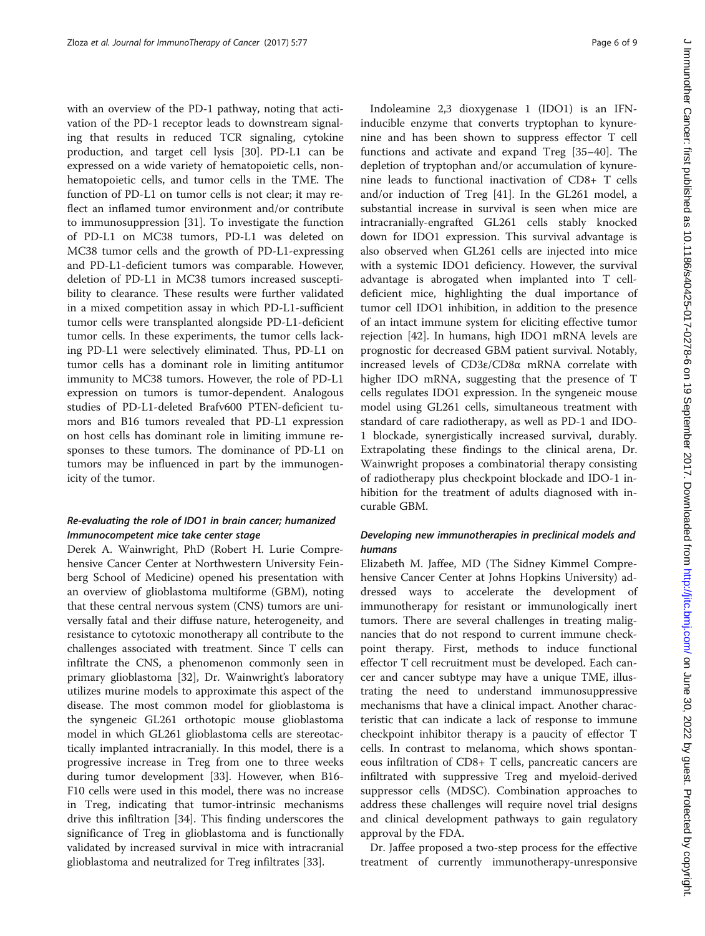with an overview of the PD-1 pathway, noting that activation of the PD-1 receptor leads to downstream signaling that results in reduced TCR signaling, cytokine production, and target cell lysis [[30\]](#page-8-0). PD-L1 can be expressed on a wide variety of hematopoietic cells, nonhematopoietic cells, and tumor cells in the TME. The function of PD-L1 on tumor cells is not clear; it may reflect an inflamed tumor environment and/or contribute to immunosuppression [[31](#page-8-0)]. To investigate the function of PD-L1 on MC38 tumors, PD-L1 was deleted on MC38 tumor cells and the growth of PD-L1-expressing and PD-L1-deficient tumors was comparable. However, deletion of PD-L1 in MC38 tumors increased susceptibility to clearance. These results were further validated in a mixed competition assay in which PD-L1-sufficient tumor cells were transplanted alongside PD-L1-deficient tumor cells. In these experiments, the tumor cells lacking PD-L1 were selectively eliminated. Thus, PD-L1 on tumor cells has a dominant role in limiting antitumor immunity to MC38 tumors. However, the role of PD-L1 expression on tumors is tumor-dependent. Analogous studies of PD-L1-deleted Brafv600 PTEN-deficient tumors and B16 tumors revealed that PD-L1 expression on host cells has dominant role in limiting immune responses to these tumors. The dominance of PD-L1 on tumors may be influenced in part by the immunogenicity of the tumor.

# Re-evaluating the role of IDO1 in brain cancer; humanized Immunocompetent mice take center stage

Derek A. Wainwright, PhD (Robert H. Lurie Comprehensive Cancer Center at Northwestern University Feinberg School of Medicine) opened his presentation with an overview of glioblastoma multiforme (GBM), noting that these central nervous system (CNS) tumors are universally fatal and their diffuse nature, heterogeneity, and resistance to cytotoxic monotherapy all contribute to the challenges associated with treatment. Since T cells can infiltrate the CNS, a phenomenon commonly seen in primary glioblastoma [\[32\]](#page-8-0), Dr. Wainwright's laboratory utilizes murine models to approximate this aspect of the disease. The most common model for glioblastoma is the syngeneic GL261 orthotopic mouse glioblastoma model in which GL261 glioblastoma cells are stereotactically implanted intracranially. In this model, there is a progressive increase in Treg from one to three weeks during tumor development [[33](#page-8-0)]. However, when B16- F10 cells were used in this model, there was no increase in Treg, indicating that tumor-intrinsic mechanisms drive this infiltration [[34](#page-8-0)]. This finding underscores the significance of Treg in glioblastoma and is functionally validated by increased survival in mice with intracranial glioblastoma and neutralized for Treg infiltrates [\[33\]](#page-8-0).

Indoleamine 2,3 dioxygenase 1 (IDO1) is an IFNinducible enzyme that converts tryptophan to kynurenine and has been shown to suppress effector T cell functions and activate and expand Treg [\[35](#page-8-0)–[40\]](#page-8-0). The depletion of tryptophan and/or accumulation of kynurenine leads to functional inactivation of CD8+ T cells and/or induction of Treg [[41\]](#page-8-0). In the GL261 model, a substantial increase in survival is seen when mice are intracranially-engrafted GL261 cells stably knocked down for IDO1 expression. This survival advantage is also observed when GL261 cells are injected into mice with a systemic IDO1 deficiency. However, the survival advantage is abrogated when implanted into T celldeficient mice, highlighting the dual importance of tumor cell IDO1 inhibition, in addition to the presence of an intact immune system for eliciting effective tumor rejection [[42](#page-8-0)]. In humans, high IDO1 mRNA levels are prognostic for decreased GBM patient survival. Notably, increased levels of CD3ε/CD8α mRNA correlate with higher IDO mRNA, suggesting that the presence of T cells regulates IDO1 expression. In the syngeneic mouse model using GL261 cells, simultaneous treatment with standard of care radiotherapy, as well as PD-1 and IDO-1 blockade, synergistically increased survival, durably. Extrapolating these findings to the clinical arena, Dr. Wainwright proposes a combinatorial therapy consisting of radiotherapy plus checkpoint blockade and IDO-1 inhibition for the treatment of adults diagnosed with incurable GBM.

# Developing new immunotherapies in preclinical models and humans

Elizabeth M. Jaffee, MD (The Sidney Kimmel Comprehensive Cancer Center at Johns Hopkins University) addressed ways to accelerate the development of immunotherapy for resistant or immunologically inert tumors. There are several challenges in treating malignancies that do not respond to current immune checkpoint therapy. First, methods to induce functional effector T cell recruitment must be developed. Each cancer and cancer subtype may have a unique TME, illustrating the need to understand immunosuppressive mechanisms that have a clinical impact. Another characteristic that can indicate a lack of response to immune checkpoint inhibitor therapy is a paucity of effector T cells. In contrast to melanoma, which shows spontaneous infiltration of CD8+ T cells, pancreatic cancers are infiltrated with suppressive Treg and myeloid-derived suppressor cells (MDSC). Combination approaches to address these challenges will require novel trial designs and clinical development pathways to gain regulatory approval by the FDA.

Dr. Jaffee proposed a two-step process for the effective treatment of currently immunotherapy-unresponsive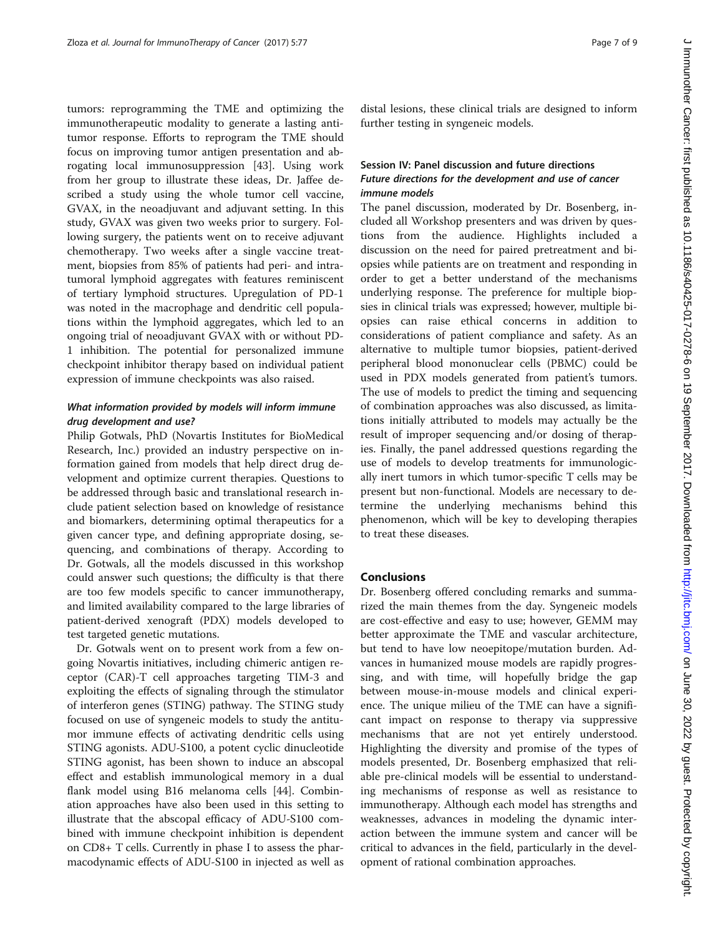tumors: reprogramming the TME and optimizing the immunotherapeutic modality to generate a lasting antitumor response. Efforts to reprogram the TME should focus on improving tumor antigen presentation and abrogating local immunosuppression [\[43\]](#page-8-0). Using work from her group to illustrate these ideas, Dr. Jaffee described a study using the whole tumor cell vaccine, GVAX, in the neoadjuvant and adjuvant setting. In this study, GVAX was given two weeks prior to surgery. Following surgery, the patients went on to receive adjuvant chemotherapy. Two weeks after a single vaccine treatment, biopsies from 85% of patients had peri- and intratumoral lymphoid aggregates with features reminiscent of tertiary lymphoid structures. Upregulation of PD-1 was noted in the macrophage and dendritic cell populations within the lymphoid aggregates, which led to an ongoing trial of neoadjuvant GVAX with or without PD-1 inhibition. The potential for personalized immune checkpoint inhibitor therapy based on individual patient expression of immune checkpoints was also raised.

# What information provided by models will inform immune drug development and use?

Philip Gotwals, PhD (Novartis Institutes for BioMedical Research, Inc.) provided an industry perspective on information gained from models that help direct drug development and optimize current therapies. Questions to be addressed through basic and translational research include patient selection based on knowledge of resistance and biomarkers, determining optimal therapeutics for a given cancer type, and defining appropriate dosing, sequencing, and combinations of therapy. According to Dr. Gotwals, all the models discussed in this workshop could answer such questions; the difficulty is that there are too few models specific to cancer immunotherapy, and limited availability compared to the large libraries of patient-derived xenograft (PDX) models developed to test targeted genetic mutations.

Dr. Gotwals went on to present work from a few ongoing Novartis initiatives, including chimeric antigen receptor (CAR)-T cell approaches targeting TIM-3 and exploiting the effects of signaling through the stimulator of interferon genes (STING) pathway. The STING study focused on use of syngeneic models to study the antitumor immune effects of activating dendritic cells using STING agonists. ADU-S100, a potent cyclic dinucleotide STING agonist, has been shown to induce an abscopal effect and establish immunological memory in a dual flank model using B16 melanoma cells [[44\]](#page-8-0). Combination approaches have also been used in this setting to illustrate that the abscopal efficacy of ADU-S100 combined with immune checkpoint inhibition is dependent on CD8+ T cells. Currently in phase I to assess the pharmacodynamic effects of ADU-S100 in injected as well as

distal lesions, these clinical trials are designed to inform further testing in syngeneic models.

# Session IV: Panel discussion and future directions Future directions for the development and use of cancer immune models

The panel discussion, moderated by Dr. Bosenberg, included all Workshop presenters and was driven by questions from the audience. Highlights included a discussion on the need for paired pretreatment and biopsies while patients are on treatment and responding in order to get a better understand of the mechanisms underlying response. The preference for multiple biopsies in clinical trials was expressed; however, multiple biopsies can raise ethical concerns in addition to considerations of patient compliance and safety. As an alternative to multiple tumor biopsies, patient-derived peripheral blood mononuclear cells (PBMC) could be used in PDX models generated from patient's tumors. The use of models to predict the timing and sequencing of combination approaches was also discussed, as limitations initially attributed to models may actually be the result of improper sequencing and/or dosing of therapies. Finally, the panel addressed questions regarding the use of models to develop treatments for immunologically inert tumors in which tumor-specific T cells may be present but non-functional. Models are necessary to determine the underlying mechanisms behind this phenomenon, which will be key to developing therapies to treat these diseases.

#### Conclusions

Dr. Bosenberg offered concluding remarks and summarized the main themes from the day. Syngeneic models are cost-effective and easy to use; however, GEMM may better approximate the TME and vascular architecture, but tend to have low neoepitope/mutation burden. Advances in humanized mouse models are rapidly progressing, and with time, will hopefully bridge the gap between mouse-in-mouse models and clinical experience. The unique milieu of the TME can have a significant impact on response to therapy via suppressive mechanisms that are not yet entirely understood. Highlighting the diversity and promise of the types of models presented, Dr. Bosenberg emphasized that reliable pre-clinical models will be essential to understanding mechanisms of response as well as resistance to immunotherapy. Although each model has strengths and weaknesses, advances in modeling the dynamic interaction between the immune system and cancer will be critical to advances in the field, particularly in the development of rational combination approaches.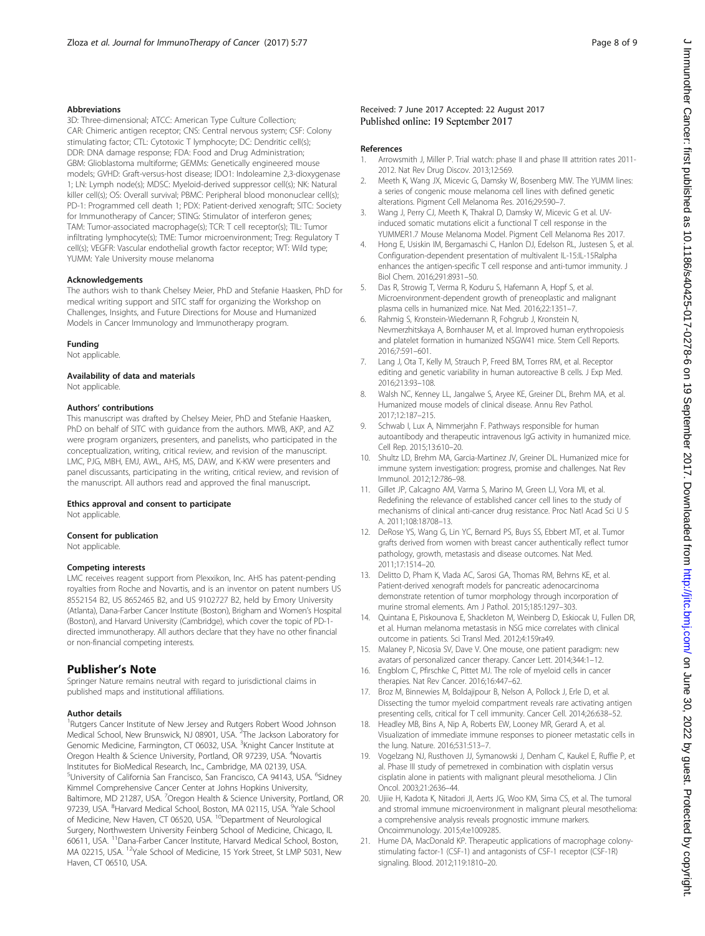#### <span id="page-7-0"></span>Abbreviations

3D: Three-dimensional; ATCC: American Type Culture Collection; CAR: Chimeric antigen receptor; CNS: Central nervous system; CSF: Colony stimulating factor; CTL: Cytotoxic T lymphocyte; DC: Dendritic cell(s); DDR: DNA damage response; FDA: Food and Drug Administration; GBM: Glioblastoma multiforme; GEMMs: Genetically engineered mouse models; GVHD: Graft-versus-host disease; IDO1: Indoleamine 2,3-dioxygenase 1; LN: Lymph node(s); MDSC: Myeloid-derived suppressor cell(s); NK: Natural killer cell(s); OS: Overall survival; PBMC: Peripheral blood mononuclear cell(s); PD-1: Programmed cell death 1; PDX: Patient-derived xenograft; SITC: Society for Immunotherapy of Cancer; STING: Stimulator of interferon genes; TAM: Tumor-associated macrophage(s); TCR: T cell receptor(s); TIL: Tumor infiltrating lymphocyte(s); TME: Tumor microenvironment; Treg: Regulatory T cell(s); VEGFR: Vascular endothelial growth factor receptor; WT: Wild type; YUMM: Yale University mouse melanoma

#### Acknowledgements

The authors wish to thank Chelsey Meier, PhD and Stefanie Haasken, PhD for medical writing support and SITC staff for organizing the Workshop on Challenges, Insights, and Future Directions for Mouse and Humanized Models in Cancer Immunology and Immunotherapy program.

#### Funding

Not applicable.

# Availability of data and materials

Not applicable.

#### Authors' contributions

This manuscript was drafted by Chelsey Meier, PhD and Stefanie Haasken, PhD on behalf of SITC with guidance from the authors. MWB, AKP, and AZ were program organizers, presenters, and panelists, who participated in the conceptualization, writing, critical review, and revision of the manuscript. LMC, PJG, MBH, EMJ, AWL, AHS, MS, DAW, and K-KW were presenters and panel discussants, participating in the writing, critical review, and revision of the manuscript. All authors read and approved the final manuscript.

#### Ethics approval and consent to participate

Not applicable.

#### Consent for publication

Not applicable.

#### Competing interests

LMC receives reagent support from Plexxikon, Inc. AHS has patent-pending royalties from Roche and Novartis, and is an inventor on patent numbers US 8552154 B2, US 8652465 B2, and US 9102727 B2, held by Emory University (Atlanta), Dana-Farber Cancer Institute (Boston), Brigham and Women's Hospital (Boston), and Harvard University (Cambridge), which cover the topic of PD-1 directed immunotherapy. All authors declare that they have no other financial or non-financial competing interests.

# Publisher's Note

Springer Nature remains neutral with regard to jurisdictional claims in published maps and institutional affiliations.

#### Author details

<sup>1</sup>Rutgers Cancer Institute of New Jersey and Rutgers Robert Wood Johnson Medical School, New Brunswick, NJ 08901, USA. <sup>2</sup>The Jackson Laboratory for Genomic Medicine, Farmington, CT 06032, USA. <sup>3</sup>Knight Cancer Institute at Oregon Health & Science University, Portland, OR 97239, USA. <sup>4</sup>Novartis Institutes for BioMedical Research, Inc., Cambridge, MA 02139, USA. <sup>5</sup>University of California San Francisco, San Francisco, CA 94143, USA. <sup>6</sup>Sidney Kimmel Comprehensive Cancer Center at Johns Hopkins University, Baltimore, MD 21287, USA. <sup>7</sup>Oregon Health & Science University, Portland, OR 97239, USA. <sup>8</sup>Harvard Medical School, Boston, MA 02115, USA. <sup>9</sup>Yale School of Medicine, New Haven, CT 06520, USA. <sup>10</sup>Department of Neurological Surgery, Northwestern University Feinberg School of Medicine, Chicago, IL 60611, USA. 11Dana-Farber Cancer Institute, Harvard Medical School, Boston, MA 02215, USA. 12Yale School of Medicine, 15 York Street, St LMP 5031, New Haven, CT 06510, USA.

#### Received: 7 June 2017 Accepted: 22 August 2017 Published online: 19 September 2017

#### References

- 1. Arrowsmith J, Miller P. Trial watch: phase II and phase III attrition rates 2011- 2012. Nat Rev Drug Discov. 2013;12:569.
- 2. Meeth K, Wang JX, Micevic G, Damsky W, Bosenberg MW. The YUMM lines: a series of congenic mouse melanoma cell lines with defined genetic alterations. Pigment Cell Melanoma Res. 2016;29:590–7.
- 3. Wang J, Perry CJ, Meeth K, Thakral D, Damsky W, Micevic G et al. UVinduced somatic mutations elicit a functional T cell response in the YUMMER1.7 Mouse Melanoma Model. Pigment Cell Melanoma Res 2017.
- 4. Hong E, Usiskin IM, Bergamaschi C, Hanlon DJ, Edelson RL, Justesen S, et al. Configuration-dependent presentation of multivalent IL-15:IL-15Ralpha enhances the antigen-specific T cell response and anti-tumor immunity. J Biol Chem. 2016;291:8931–50.
- 5. Das R, Strowig T, Verma R, Koduru S, Hafemann A, Hopf S, et al. Microenvironment-dependent growth of preneoplastic and malignant plasma cells in humanized mice. Nat Med. 2016;22:1351–7.
- 6. Rahmig S, Kronstein-Wiedemann R, Fohgrub J, Kronstein N, Nevmerzhitskaya A, Bornhauser M, et al. Improved human erythropoiesis and platelet formation in humanized NSGW41 mice. Stem Cell Reports. 2016;7:591–601.
- 7. Lang J, Ota T, Kelly M, Strauch P, Freed BM, Torres RM, et al. Receptor editing and genetic variability in human autoreactive B cells. J Exp Med. 2016;213:93–108.
- 8. Walsh NC, Kenney LL, Jangalwe S, Aryee KE, Greiner DL, Brehm MA, et al. Humanized mouse models of clinical disease. Annu Rev Pathol. 2017;12:187–215.
- 9. Schwab I, Lux A, Nimmerjahn F. Pathways responsible for human autoantibody and therapeutic intravenous IgG activity in humanized mice. Cell Rep. 2015;13:610–20.
- 10. Shultz LD, Brehm MA, Garcia-Martinez JV, Greiner DL. Humanized mice for immune system investigation: progress, promise and challenges. Nat Rev Immunol. 2012;12:786–98.
- 11. Gillet JP, Calcagno AM, Varma S, Marino M, Green LJ, Vora MI, et al. Redefining the relevance of established cancer cell lines to the study of mechanisms of clinical anti-cancer drug resistance. Proc Natl Acad Sci U S A. 2011;108:18708–13.
- 12. DeRose YS, Wang G, Lin YC, Bernard PS, Buys SS, Ebbert MT, et al. Tumor grafts derived from women with breast cancer authentically reflect tumor pathology, growth, metastasis and disease outcomes. Nat Med. 2011;17:1514–20.
- 13. Delitto D, Pham K, Vlada AC, Sarosi GA, Thomas RM, Behrns KE, et al. Patient-derived xenograft models for pancreatic adenocarcinoma demonstrate retention of tumor morphology through incorporation of murine stromal elements. Am J Pathol. 2015;185:1297–303.
- 14. Quintana E, Piskounova E, Shackleton M, Weinberg D, Eskiocak U, Fullen DR, et al. Human melanoma metastasis in NSG mice correlates with clinical outcome in patients. Sci Transl Med. 2012;4:159ra49.
- 15. Malaney P, Nicosia SV, Dave V. One mouse, one patient paradigm: new avatars of personalized cancer therapy. Cancer Lett. 2014;344:1–12.
- 16. Engblom C, Pfirschke C, Pittet MJ. The role of myeloid cells in cancer therapies. Nat Rev Cancer. 2016;16:447–62.
- 17. Broz M, Binnewies M, Boldajipour B, Nelson A, Pollock J, Erle D, et al. Dissecting the tumor myeloid compartment reveals rare activating antigen presenting cells, critical for T cell immunity. Cancer Cell. 2014;26:638–52.
- 18. Headley MB, Bins A, Nip A, Roberts EW, Looney MR, Gerard A, et al. Visualization of immediate immune responses to pioneer metastatic cells in the lung. Nature. 2016;531:513–7.
- 19. Vogelzang NJ, Rusthoven JJ, Symanowski J, Denham C, Kaukel E, Ruffie P, et al. Phase III study of pemetrexed in combination with cisplatin versus cisplatin alone in patients with malignant pleural mesothelioma. J Clin Oncol. 2003;21:2636–44.
- 20. Ujiie H, Kadota K, Nitadori JI, Aerts JG, Woo KM, Sima CS, et al. The tumoral and stromal immune microenvironment in malignant pleural mesothelioma: a comprehensive analysis reveals prognostic immune markers. Oncoimmunology. 2015;4:e1009285.
- 21. Hume DA, MacDonald KP. Therapeutic applications of macrophage colonystimulating factor-1 (CSF-1) and antagonists of CSF-1 receptor (CSF-1R) signaling. Blood. 2012;119:1810–20.